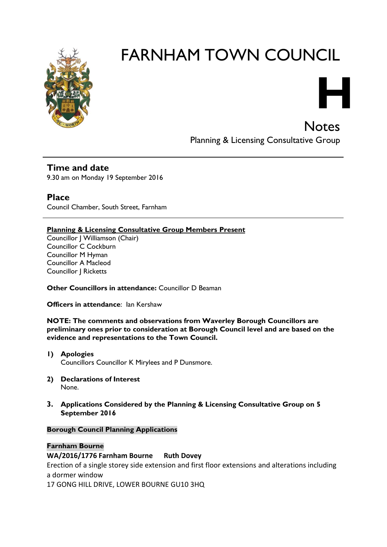

# FARNHAM TOWN COUNCIL

**H Notes** 

Planning & Licensing Consultative Group

**Time and date** 9.30 am on Monday 19 September 2016

**Place** Council Chamber, South Street, Farnham

**Planning & Licensing Consultative Group Members Present**

Councillor J Williamson (Chair) Councillor C Cockburn Councillor M Hyman Councillor A Macleod Councillor J Ricketts

**Other Councillors in attendance:** Councillor D Beaman

**Officers in attendance**: Ian Kershaw

**NOTE: The comments and observations from Waverley Borough Councillors are preliminary ones prior to consideration at Borough Council level and are based on the evidence and representations to the Town Council.**

- **1) Apologies**  Councillors Councillor K Mirylees and P Dunsmore.
- **2) Declarations of Interest** None.
- **3. Applications Considered by the Planning & Licensing Consultative Group on 5 September 2016**

# **Borough Council Planning Applications**

# **Farnham Bourne**

**WA/2016/1776 Farnham Bourne Ruth Dovey**

Erection of a single storey side extension and first floor extensions and alterations including a dormer window

17 GONG HILL DRIVE, LOWER BOURNE GU10 3HQ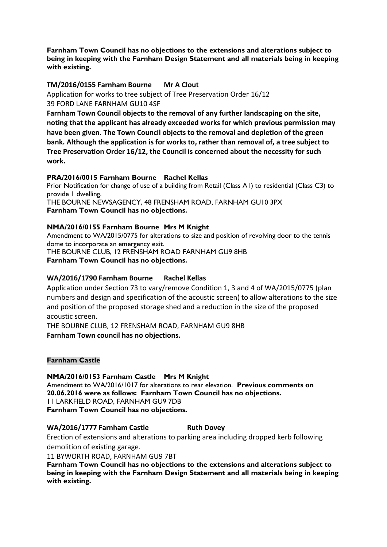**Farnham Town Council has no objections to the extensions and alterations subject to being in keeping with the Farnham Design Statement and all materials being in keeping with existing.**

# **TM/2016/0155 Farnham Bourne Mr A Clout**

Application for works to tree subject of Tree Preservation Order 16/12 39 FORD LANE FARNHAM GU10 4SF

**Farnham Town Council objects to the removal of any further landscaping on the site, noting that the applicant has already exceeded works for which previous permission may have been given. The Town Council objects to the removal and depletion of the green bank. Although the application is for works to, rather than removal of, a tree subject to Tree Preservation Order 16/12, the Council is concerned about the necessity for such work.**

# **PRA/2016/0015 Farnham Bourne Rachel Kellas**

Prior Notification for change of use of a building from Retail (Class A1) to residential (Class C3) to provide 1 dwelling.

THE BOURNE NEWSAGENCY, 48 FRENSHAM ROAD, FARNHAM GU10 3PX **Farnham Town Council has no objections.**

# **NMA/2016/0155 Farnham Bourne Mrs M Knight**

Amendment to WA/2015/0775 for alterations to size and position of revolving door to the tennis dome to incorporate an emergency exit. THE BOURNE CLUB, 12 FRENSHAM ROAD FARNHAM GU9 8HB

**Farnham Town Council has no objections.**

# **WA/2016/1790 Farnham Bourne Rachel Kellas**

Application under Section 73 to vary/remove Condition 1, 3 and 4 of WA/2015/0775 (plan numbers and design and specification of the acoustic screen) to allow alterations to the size and position of the proposed storage shed and a reduction in the size of the proposed acoustic screen.

THE BOURNE CLUB, 12 FRENSHAM ROAD, FARNHAM GU9 8HB **Farnham Town council has no objections.**

# **Farnham Castle**

# **NMA/2016/0153 Farnham Castle Mrs M Knight**

Amendment to WA/2016/1017 for alterations to rear elevation. **Previous comments on 20.06.2016 were as follows: Farnham Town Council has no objections.** 11 LARKFIELD ROAD, FARNHAM GU9 7DB **Farnham Town Council has no objections.**

# **WA/2016/1777 Farnham Castle <b>Ruth Dovey**

Erection of extensions and alterations to parking area including dropped kerb following demolition of existing garage.

11 BYWORTH ROAD, FARNHAM GU9 7BT

**Farnham Town Council has no objections to the extensions and alterations subject to being in keeping with the Farnham Design Statement and all materials being in keeping with existing.**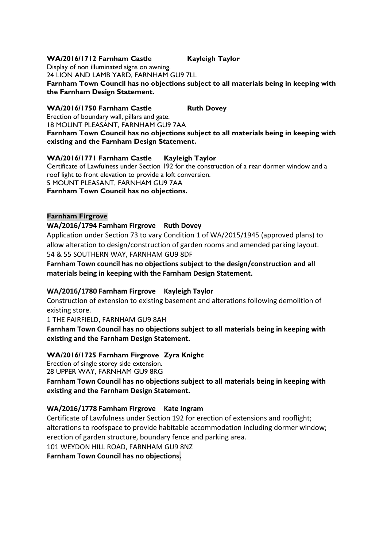# **WA/2016/1712 Farnham Castle Kayleigh Taylor**

Display of non illuminated signs on awning.

24 LION AND LAMB YARD, FARNHAM GU9 7LL

**Farnham Town Council has no objections subject to all materials being in keeping with the Farnham Design Statement.**

# WA/2016/1750 Farnham Castle Ruth Dovey

Erection of boundary wall, pillars and gate.

18 MOUNT PLEASANT, FARNHAM GU9 7AA **Farnham Town Council has no objections subject to all materials being in keeping with existing and the Farnham Design Statement.**

# **WA/2016/1771 Farnham Castle Kayleigh Taylor**

Certificate of Lawfulness under Section 192 for the construction of a rear dormer window and a roof light to front elevation to provide a loft conversion. 5 MOUNT PLEASANT, FARNHAM GU9 7AA

**Farnham Town Council has no objections.**

# **Farnham Firgrove**

# **WA/2016/1794 Farnham Firgrove Ruth Dovey**

Application under Section 73 to vary Condition 1 of WA/2015/1945 (approved plans) to allow alteration to design/construction of garden rooms and amended parking layout. 54 & 55 SOUTHERN WAY, FARNHAM GU9 8DF

**Farnham Town council has no objections subject to the design/construction and all materials being in keeping with the Farnham Design Statement.** 

# **WA/2016/1780 Farnham Firgrove Kayleigh Taylor**

Construction of extension to existing basement and alterations following demolition of existing store.

1 THE FAIRFIELD, FARNHAM GU9 8AH

**Farnham Town Council has no objections subject to all materials being in keeping with existing and the Farnham Design Statement.**

# **WA/2016/1725 Farnham Firgrove Zyra Knight**

Erection of single storey side extension.

28 UPPER WAY, FARNHAM GU9 8RG

**Farnham Town Council has no objections subject to all materials being in keeping with existing and the Farnham Design Statement.**

# **WA/2016/1778 Farnham Firgrove Kate Ingram**

Certificate of Lawfulness under Section 192 for erection of extensions and rooflight; alterations to roofspace to provide habitable accommodation including dormer window; erection of garden structure, boundary fence and parking area. 101 WEYDON HILL ROAD, FARNHAM GU9 8NZ

**Farnham Town Council has no objections.**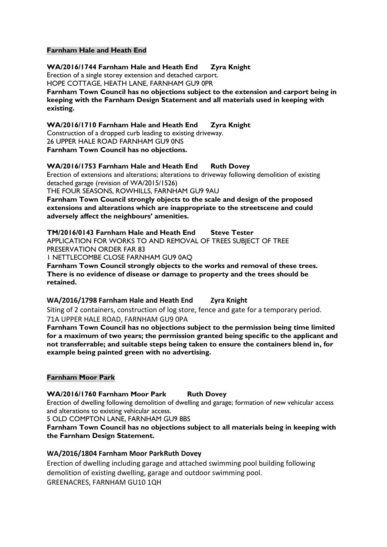#### **Farnham Hale and Heath End**

**WA/2016/1744 Farnham Hale and Heath End Zyra Knight** Erection of a single storey extension and detached carport. HOPE COTTAGE, HEATH LANE, FARNHAM GU9 0PR **Farnham Town Council has no objections subject to the extension and carport being in keeping with the Farnham Design Statement and all materials used in keeping with existing.**

**WA/2016/1710 Farnham Hale and Heath End Zyra Knight** Construction of a dropped curb leading to existing driveway. 26 UPPER HALE ROAD FARNHAM GU9 0NS **Farnham Town Council has no objections.**

# **WA/2016/1753 Farnham Hale and Heath End Ruth Dovey**

Erection of extensions and alterations; alterations to driveway following demolition of existing detached garage (revision of WA/2015/1526)

THE FOUR SEASONS, ROWHILLS, FARNHAM GU9 9AU

**Farnham Town Council strongly objects to the scale and design of the proposed extensions and alterations which are inappropriate to the streetscene and could adversely affect the neighbours' amenities.**

**TM/2016/0143 Farnham Hale and Heath End Steve Tester** APPLICATION FOR WORKS TO AND REMOVAL OF TREES SUBJECT OF TREE PRESERVATION ORDER FAR 83

1 NETTLECOMBE CLOSE FARNHAM GU9 0AQ

**Farnham Town Council strongly objects to the works and removal of these trees. There is no evidence of disease or damage to property and the trees should be retained.**

**WA/2016/1798 Farnham Hale and Heath End Zyra Knight** Siting of 2 containers, construction of log store, fence and gate for a temporary period. 71A UPPER HALE ROAD, FARNHAM GU9 0PA

**Farnham Town Council has no objections subject to the permission being time limited for a maximum of two years; the permission granted being specific to the applicant and not transferrable; and suitable steps being taken to ensure the containers blend in, for example being painted green with no advertising.**

# **Farnham Moor Park**

# WA/2016/1760 Farnham Moor Park Ruth Dovey

Erection of dwelling following demolition of dwelling and garage; formation of new vehicular access and alterations to existing vehicular access.

5 OLD COMPTON LANE, FARNHAM GU9 8BS

**Farnham Town Council has no objections subject to all materials being in keeping with the Farnham Design Statement.**

# **WA/2016/1804 Farnham Moor ParkRuth Dovey**

Erection of dwelling including garage and attached swimming pool building following demolition of existing dwelling, garage and outdoor swimming pool. GREENACRES, FARNHAM GU10 1QH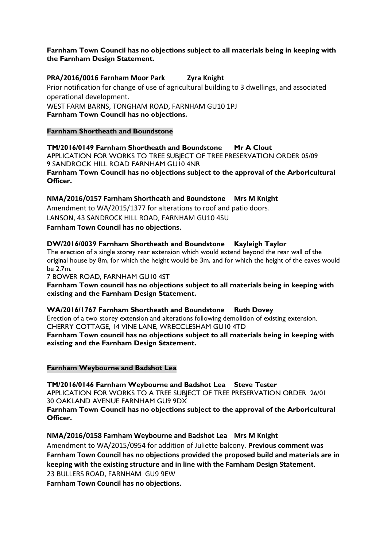## **Farnham Town Council has no objections subject to all materials being in keeping with the Farnham Design Statement.**

## **PRA/2016/0016 Farnham Moor Park Zyra Knight**

Prior notification for change of use of agricultural building to 3 dwellings, and associated operational development. WEST FARM BARNS, TONGHAM ROAD, FARNHAM GU10 1PJ **Farnham Town Council has no objections.**

#### **Farnham Shortheath and Boundstone**

**TM/2016/0149 Farnham Shortheath and Boundstone Mr A Clout** APPLICATION FOR WORKS TO TREE SUBJECT OF TREE PRESERVATION ORDER 05/09 9 SANDROCK HILL ROAD FARNHAM GU10 4NR **Farnham Town Council has no objections subject to the approval of the Arboricultural Officer.**

**NMA/2016/0157 Farnham Shortheath and Boundstone Mrs M Knight** Amendment to WA/2015/1377 for alterations to roof and patio doors. LANSON, 43 SANDROCK HILL ROAD, FARNHAM GU10 4SU **Farnham Town Council has no objections.**

#### **DW/2016/0039 Farnham Shortheath and Boundstone Kayleigh Taylor**

The erection of a single storey rear extension which would extend beyond the rear wall of the original house by 8m, for which the height would be 3m, and for which the height of the eaves would be 2.7m.

7 BOWER ROAD, FARNHAM GU10 4ST

**Farnham Town council has no objections subject to all materials being in keeping with existing and the Farnham Design Statement.**

# **WA/2016/1767 Farnham Shortheath and Boundstone Ruth Dovey**

Erection of a two storey extension and alterations following demolition of existing extension. CHERRY COTTAGE, 14 VINE LANE, WRECCLESHAM GU10 4TD **Farnham Town council has no objections subject to all materials being in keeping with existing and the Farnham Design Statement.**

**Farnham Weybourne and Badshot Lea**

**TM/2016/0146 Farnham Weybourne and Badshot Lea Steve Tester** APPLICATION FOR WORKS TO A TREE SUBJECT OF TREE PRESERVATION ORDER 26/01 30 OAKLAND AVENUE FARNHAM GU9 9DX **Farnham Town Council has no objections subject to the approval of the Arboricultural Officer.**

**NMA/2016/0158 Farnham Weybourne and Badshot Lea Mrs M Knight** Amendment to WA/2015/0954 for addition of Juliette balcony. **Previous comment was Farnham Town Council has no objections provided the proposed build and materials are in keeping with the existing structure and in line with the Farnham Design Statement.** 23 BULLERS ROAD, FARNHAM GU9 9EW

**Farnham Town Council has no objections.**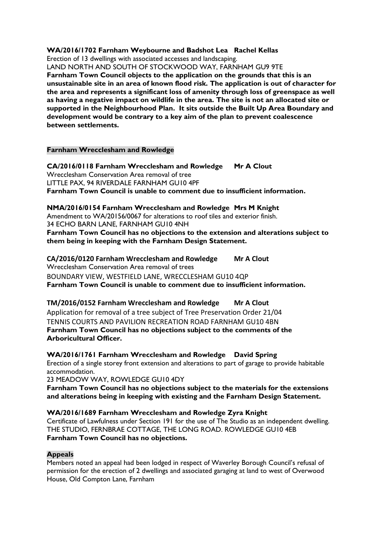#### **WA/2016/1702 Farnham Weybourne and Badshot Lea Rachel Kellas**

Erection of 13 dwellings with associated accesses and landscaping.

LAND NORTH AND SOUTH OF STOCKWOOD WAY, FARNHAM GU9 9TE **Farnham Town Council objects to the application on the grounds that this is an unsustainable site in an area of known flood risk. The application is out of character for the area and represents a significant loss of amenity through loss of greenspace as well as having a negative impact on wildlife in the area. The site is not an allocated site or supported in the Neighbourhood Plan. It sits outside the Built Up Area Boundary and development would be contrary to a key aim of the plan to prevent coalescence between settlements.**

#### **Farnham Wrecclesham and Rowledge**

**CA/2016/0118 Farnham Wrecclesham and Rowledge Mr A Clout** Wrecclesham Conservation Area removal of tree LITTLE PAX, 94 RIVERDALE FARNHAM GU10 4PF **Farnham Town Council is unable to comment due to insufficient information.**

**NMA/2016/0154 Farnham Wrecclesham and Rowledge Mrs M Knight** Amendment to WA/20156/0067 for alterations to roof tiles and exterior finish. 34 ECHO BARN LANE, FARNHAM GU10 4NH **Farnham Town Council has no objections to the extension and alterations subject to them being in keeping with the Farnham Design Statement.**

**CA/2016/0120 Farnham Wrecclesham and Rowledge Mr A Clout** Wrecclesham Conservation Area removal of trees BOUNDARY VIEW, WESTFIELD LANE, WRECCLESHAM GU10 4QP **Farnham Town Council is unable to comment due to insufficient information.**

**TM/2016/0152 Farnham Wrecclesham and Rowledge Mr A Clout** Application for removal of a tree subject of Tree Preservation Order 21/04 TENNIS COURTS AND PAVILION RECREATION ROAD FARNHAM GU10 4BN **Farnham Town Council has no objections subject to the comments of the Arboricultural Officer.**

**WA/2016/1761 Farnham Wrecclesham and Rowledge David Spring** Erection of a single storey front extension and alterations to part of garage to provide habitable accommodation.

23 MEADOW WAY, ROWLEDGE GU10 4DY

**Farnham Town Council has no objections subject to the materials for the extensions and alterations being in keeping with existing and the Farnham Design Statement.**

#### **WA/2016/1689 Farnham Wrecclesham and Rowledge Zyra Knight**

Certificate of Lawfulness under Section 191 for the use of The Studio as an independent dwelling. THE STUDIO, FERNBRAE COTTAGE, THE LONG ROAD. ROWLEDGE GU10 4EB **Farnham Town Council has no objections.**

# **Appeals**

Members noted an appeal had been lodged in respect of Waverley Borough Council's refusal of permission for the erection of 2 dwellings and associated garaging at land to west of Overwood House, Old Compton Lane, Farnham